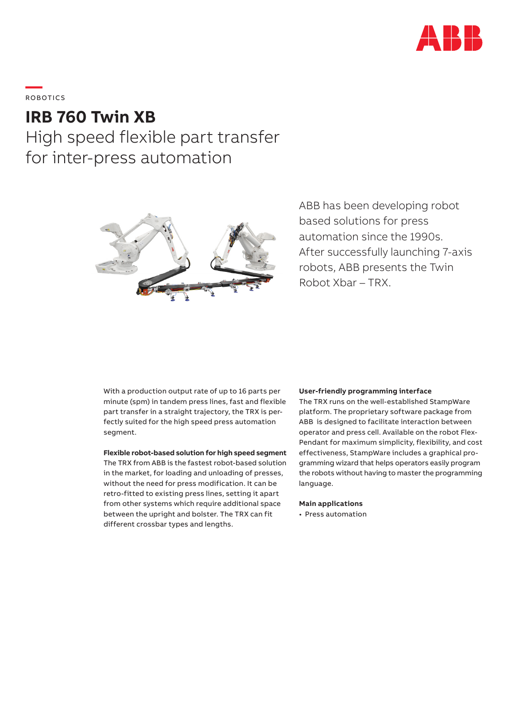

# **—**  ROBOTICS

# **IRB 760 Twin XB**

High speed flexible part transfer for inter-press automation



ABB has been developing robot based solutions for press automation since the 1990s. After successfully launching 7-axis robots, ABB presents the Twin Robot Xbar – TRX.

With a production output rate of up to 16 parts per minute (spm) in tandem press lines, fast and flexible part transfer in a straight trajectory, the TRX is perfectly suited for the high speed press automation segment.

### **Flexible robot-based solution for high speed segment**

The TRX from ABB is the fastest robot-based solution in the market, for loading and unloading of presses, without the need for press modification. It can be retro-fitted to existing press lines, setting it apart from other systems which require additional space between the upright and bolster. The TRX can fit different crossbar types and lengths.

#### **User-friendly programming interface**

The TRX runs on the well-established StampWare platform. The proprietary software package from ABB is designed to facilitate interaction between operator and press cell. Available on the robot Flex-Pendant for maximum simplicity, flexibility, and cost effectiveness, StampWare includes a graphical programming wizard that helps operators easily program the robots without having to master the programming language.

#### **Main applications**

• Press automation